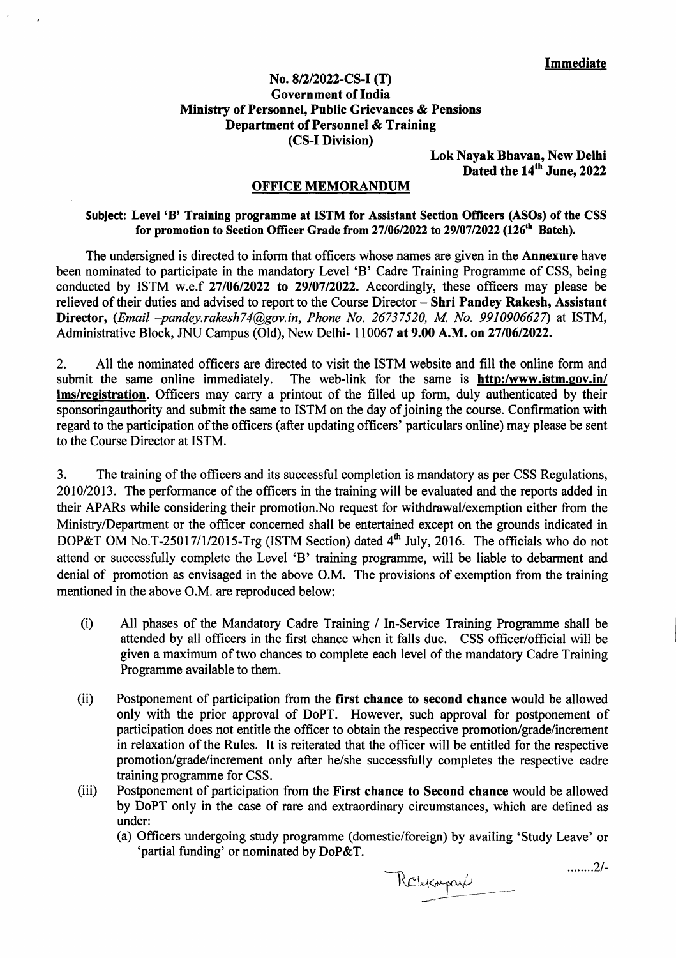## **No. 8/2/2022-CS-I (T) Government of India Ministry of Personnel, Public Grievances** & **Pensions Department of Personnel & Training (CS-I Division)**

**Lok Nayak Bhavan, New Delhi Dated the 14th June, 2022** 

## **OFFICE MEMORANDUM**

## **Subject: Level 'B' Training programme at ISTM for Assistant Section Officers (ASOs) of the CSS**  for promotion to Section Officer Grade from 27/06/2022 to 29/07/2022 (126<sup>th</sup> Batch).

The undersigned is directed to inform that officers whose names are given in the **Annexure** have been nominated to participate in the mandatory Level 'B' Cadre Training Programme of CSS, being conducted by ISTM w.e.f **27/06/2022 to 29/07/2022.** Accordingly, these officers may please be relieved of their duties and advised to report to the Course Director — **Shri Pandey Rakesh, Assistant Director,** *(Email —pandey.rakesh74@gov.in, Phone No. 26737520, M No. 9910906627)* at ISTM, Administrative Block, JNU Campus (Old), New Delhi- 110067 **at 9.00** A.M. **on 27/06/2022.** 

2. All the nominated officers are directed to visit the ISTM website and fill the online form and submit the same online immediately. The web-link for the same is **http:/www.istm.gov.in/** The web-link for the same is **http:/www.istm.gov.in/ lms/re2istration.** Officers may carry a printout of the filled up form, duly authenticated by their sponsoringauthority and submit the same to ISTM on the day of joining the course. Confirmation with regard to the participation of the officers (after updating officers' particulars online) may please be sent to the Course Director at ISTM.

3. The training of the officers and its successful completion is mandatory as per CSS Regulations, 2010/20 13. The performance of the officers in the training will be evaluated and the reports added in their APARs while considering their promotion.No request for withdrawal/exemption either from the Ministry/Department or the officer concerned shall be entertained except on the grounds indicated in DOP&T OM No.T-25017/1/2015-Trg (ISTM Section) dated  $4<sup>th</sup>$  July, 2016. The officials who do not attend or successfully complete the Level 'B' training programme, will be liable to debarment and denial of promotion as envisaged in the above O.M. The provisions of exemption from the training mentioned in the above O.M. are reproduced below:

- (i) All phases of the Mandatory Cadre Training / In-Service Training Programme shall be attended by all officers in the first chance when it falls due. CSS officer/official will be given a maximum of two chances to complete each level of the mandatory Cadre Training Programme available to them.
- (ii) Postponement of participation from the **first chance to second chance** would be allowed only with the prior approval of DoPT. However, such approval for postponement of participation does not entitle the officer to obtain the respective promotion/grade/increment in relaxation of the Rules. It is reiterated that the officer will be entitled for the respective promotion/grade/increment only after he/she successfully completes the respective cadre training programme for CSS.
- (iii) Postponement of participation from the **First chance to Second chance** would be allowed by DoPT only in the case of rare and extraordinary circumstances, which are defined as under:
	- (a) Officers undergoing study programme (domestic/foreign) by availing 'Study Leave' or 'partial funding' or nominated by DoP&T.

Robekaparé

2/-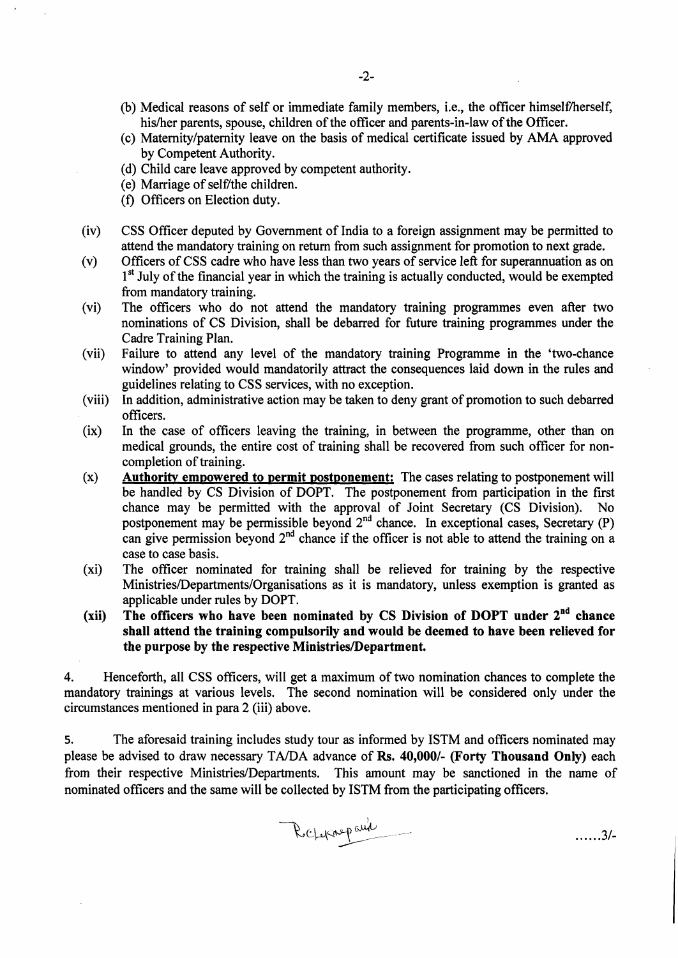- (b) Medical reasons of self or immediate family members, i.e., the officer himself/herself, his/her parents, spouse, children of the officer and parents-in-law of the Officer.
- (c) Maternity/paternity leave on the basis of medical certificate issued by AMA approved by Competent Authority.
- (d) Child care leave approved by competent authority.
- (e) Marriage of self/the children.
- (f) Officers on Election duty.
- (iv) CSS Officer deputed by Government of India to a foreign assignment may be permitted to attend the mandatory training on return from such assignment for promotion to next grade.
- (v) Officers of CSS cadre who have less than two years of service left for superannuation as on 1<sup>st</sup> July of the financial year in which the training is actually conducted, would be exempted from mandatory training.
- (vi) The officers who do not attend the mandatory training programmes even after two nominations of CS Division, shall be debarred for future training programmes under the Cadre Training Plan.
- (vii) Failure to attend any level of the mandatory training Programme in the 'two-chance window' provided would mandatorily attract the consequences laid down in the rules and guidelines relating to CSS services, with no exception.
- (viii) In addition, administrative action may be taken to deny grant of promotion to such debarred officers.
- (ix) In the case of officers leaving the training, in between the programme, other than on medical grounds, the entire cost of training shall be recovered from such officer for noncompletion of training.
- **(x) Authority empowered to permit postponement:** The cases relating to postponement will be handled by CS Division of DOPT. The postponement from participation in the first chance may be permitted with the approval of Joint Secretary (CS Division). No postponement may be permissible beyond  $2<sup>nd</sup>$  chance. In exceptional cases, Secretary (P) can give permission beyond  $2<sup>nd</sup>$  chance if the officer is not able to attend the training on a case to case basis.
- (xi) The officer nominated for training shall be relieved for training by the respective Ministries/Departments/Organisations as it is mandatory, unless exemption is granted as applicable under rules by DOPT.
- (xii) The officers who have been nominated by CS Division of DOPT under 2<sup>nd</sup> chance **shall attend the training compulsorily and would be deemed to have been relieved for the purpose by the respective Ministries/Department.**

4. Henceforth, all CSS officers, will get a maximum of two nomination chances to complete the mandatory trainings at various levels. The second nomination will be considered only under the circumstances mentioned in para 2 (iii) above.

5. The aforesaid training includes study tour as informed by ISTM and officers nominated may please be advised to draw necessary TA/DA advance of **Rs. 40,000/- (Forty Thousand Only)** each from their respective Ministries/Departments. This amount may be sanctioned in the name of nominated officers and the same will be collected by ISTM from the participating officers.

Relatinopaux

3/-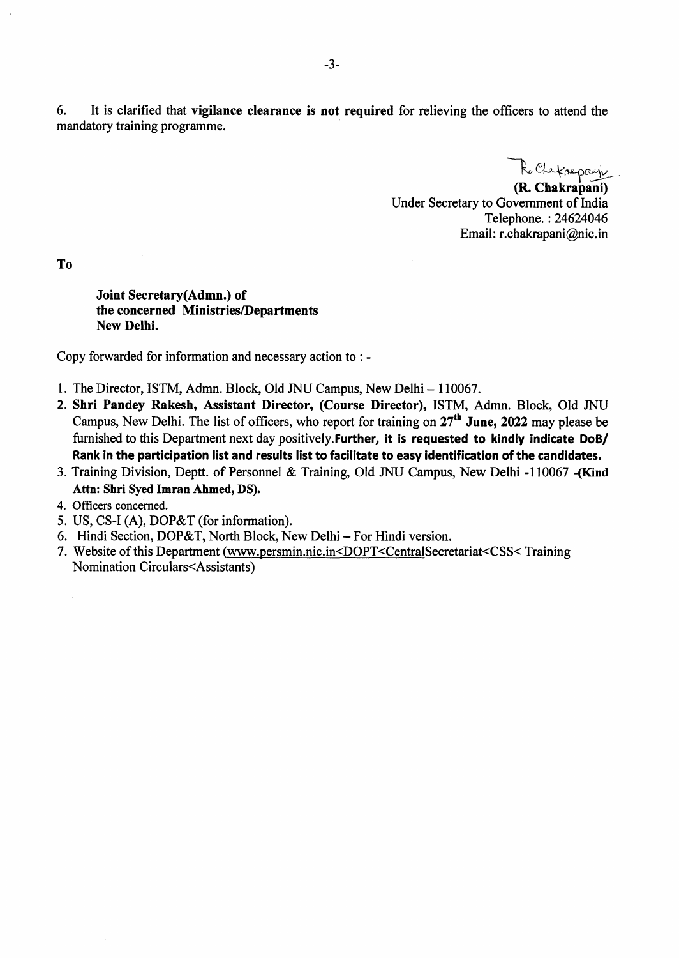6. It is clarified that **vigilance clearance is not required** for relieving the officers to attend the mandatory training programme.

 $R_{\nu}$ 

**(R. Chakrapani)**  Under Secretary to Government of India Telephone. : 24624046 Email: r.chakrapani@nic.in

**To** 

**Joint Secretary(Admn.) of the concerned Ministries/Departments New Delhi.** 

Copy forwarded for information and necessary action to : -

- 1. The Director, ISTM, Admn. Block, Old JNU Campus, New Delhi 110067.
- **2. Shri Pandey Rakesh, Assistant Director, (Course Director),** ISTM, Admn. Block, Old JNU Campus, New Delhi. The list of officers, who report for training on 27th **June, 2022** may please be furnished to this Department next day positively.Further, **it is requested to kindly indicate DoB/ Rank in the participation list and results list to facilitate to easy identification of the candidates.**
- 3. Training Division, Deptt. of Personnel & Training, Old JNU Campus, New Delhi -110067 **-(Kind Attn: Shri Syed Imran Ahmed, DS).**
- 4. Officers concerned.
- 5. US, CS-I (A), DOP&T (for information).
- 6. Hindi Section, DOP&T, North Block, New Delhi For Hindi version.
- 7. Website of this Department (www.persmin.nic.in<DOPT<CentralSecretariat<CSS<Training Nomination Circulars<Assistants)